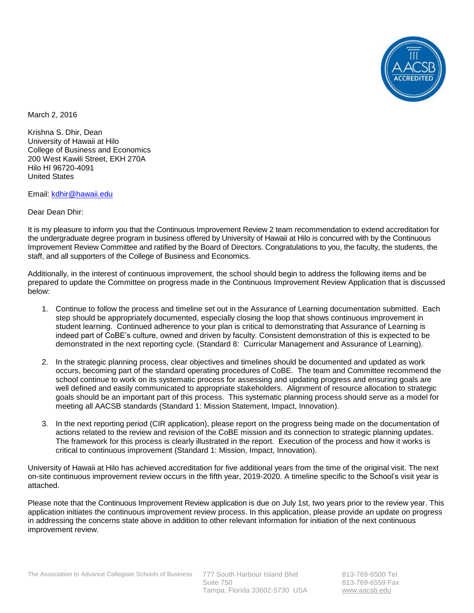

March 2, 2016

Krishna S. Dhir, Dean University of Hawaii at Hilo College of Business and Economics 200 West Kawili Street, EKH 270A Hilo HI 96720-4091 United States

Email: [kdhir@hawaii.edu](mailto:kdhir@hawaii.edu) 

Dear Dean Dhir:

It is my pleasure to inform you that the Continuous Improvement Review 2 team recommendation to extend accreditation for the undergraduate degree program in business offered by University of Hawaii at Hilo is concurred with by the Continuous Improvement Review Committee and ratified by the Board of Directors. Congratulations to you, the faculty, the students, the staff, and all supporters of the College of Business and Economics.

Additionally, in the interest of continuous improvement, the school should begin to address the following items and be prepared to update the Committee on progress made in the Continuous Improvement Review Application that is discussed below:

- 1. Continue to follow the process and timeline set out in the Assurance of Learning documentation submitted. Each step should be appropriately documented, especially closing the loop that shows continuous improvement in student learning. Continued adherence to your plan is critical to demonstrating that Assurance of Learning is indeed part of CoBE's culture, owned and driven by faculty. Consistent demonstration of this is expected to be demonstrated in the next reporting cycle. (Standard 8: Curricular Management and Assurance of Learning).
- 2. In the strategic planning process, clear objectives and timelines should be documented and updated as work occurs, becoming part of the standard operating procedures of CoBE. The team and Committee recommend the school continue to work on its systematic process for assessing and updating progress and ensuring goals are well defined and easily communicated to appropriate stakeholders. Alignment of resource allocation to strategic goals should be an important part of this process. This systematic planning process should serve as a model for meeting all AACSB standards (Standard 1: Mission Statement, Impact, Innovation).
- 3. In the next reporting period (CIR application), please report on the progress being made on the documentation of actions related to the review and revision of the CoBE mission and its connection to strategic planning updates. The framework for this process is clearly illustrated in the report. Execution of the process and how it works is critical to continuous improvement (Standard 1: Mission, Impact, Innovation).

University of Hawaii at Hilo has achieved accreditation for five additional years from the time of the original visit. The next on-site continuous improvement review occurs in the fifth year, 2019-2020. A timeline specific to the School's visit year is attached.

Please note that the Continuous Improvement Review application is due on July 1st, two years prior to the review year. This application initiates the continuous improvement review process. In this application, please provide an update on progress in addressing the concerns state above in addition to other relevant information for initiation of the next continuous improvement review.

813-769-6500 Tel 813-769-6559 Fax [www.aacsb.edu](http://www.aacsb.edu/)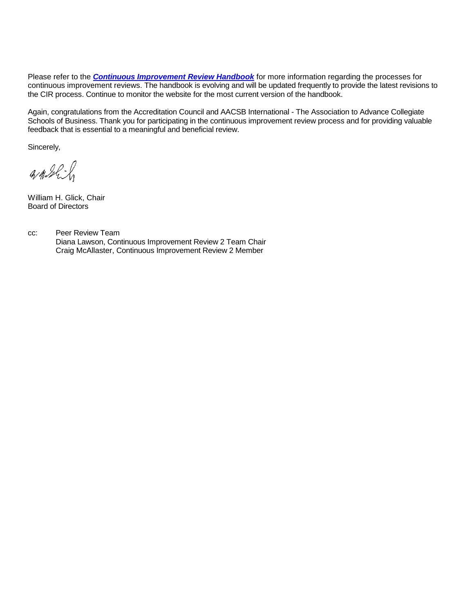Please refer to the *[Continuous Improvement Review Handbook](http://www.aacsb.edu/~/media/AACSB/Docs/Accreditation/Handbooks/circ-review-handbook-business-2013.ashx)* for more information regarding the processes for continuous improvement reviews. The handbook is evolving and will be updated frequently to provide the latest revisions to the CIR process. Continue to monitor the website for the most current version of the handbook.

Again, congratulations from the Accreditation Council and AACSB International - The Association to Advance Collegiate Schools of Business. Thank you for participating in the continuous improvement review process and for providing valuable feedback that is essential to a meaningful and beneficial review.

Sincerely,

 $4122$ 

William H. Glick, Chair Board of Directors

cc: Peer Review Team Diana Lawson, Continuous Improvement Review 2 Team Chair Craig McAllaster, Continuous Improvement Review 2 Member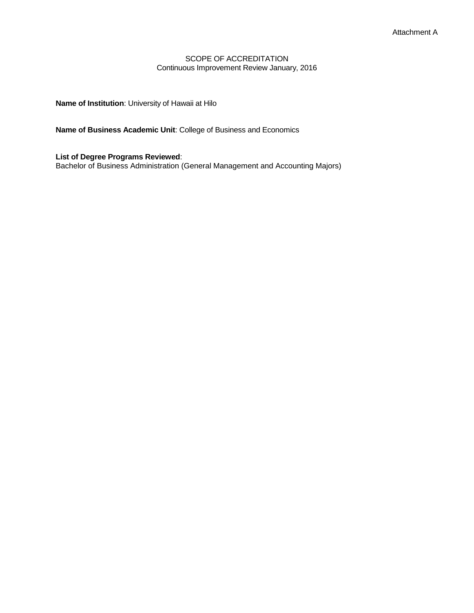## SCOPE OF ACCREDITATION Continuous Improvement Review January, 2016

**Name of Institution**: University of Hawaii at Hilo

**Name of Business Academic Unit**: College of Business and Economics

**List of Degree Programs Reviewed**: Bachelor of Business Administration (General Management and Accounting Majors)